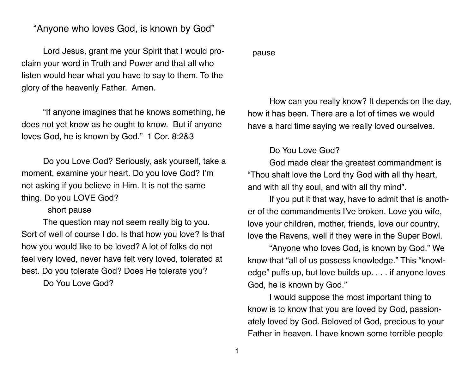## "Anyone who loves God, is known by God"

Lord Jesus, grant me your Spirit that I would proclaim your word in Truth and Power and that all who listen would hear what you have to say to them. To the glory of the heavenly Father. Amen.

"If anyone imagines that he knows something, he does not yet know as he ought to know. But if anyone loves God, he is known by God." 1 Cor. 8:2&3

Do you Love God? Seriously, ask yourself, take a moment, examine your heart. Do you love God? I'm not asking if you believe in Him. It is not the same thing. Do you LOVE God?

## short pause

The question may not seem really big to you. Sort of well of course I do. Is that how you love? Is that how you would like to be loved? A lot of folks do not feel very loved, never have felt very loved, tolerated at best. Do you tolerate God? Does He tolerate you?

Do You Love God?

## pause

How can you really know? It depends on the day, how it has been. There are a lot of times we would have a hard time saying we really loved ourselves.

## Do You Love God?

God made clear the greatest commandment is "Thou shalt love the Lord thy God with all thy heart, and with all thy soul, and with all thy mind".

If you put it that way, have to admit that is another of the commandments I've broken. Love you wife, love your children, mother, friends, love our country, love the Ravens, well if they were in the Super Bowl.

"Anyone who loves God, is known by God." We know that "all of us possess knowledge." This "knowledge" puffs up, but love builds up. . . . if anyone loves God, he is known by God."

I would suppose the most important thing to know is to know that you are loved by God, passionately loved by God. Beloved of God, precious to your Father in heaven. I have known some terrible people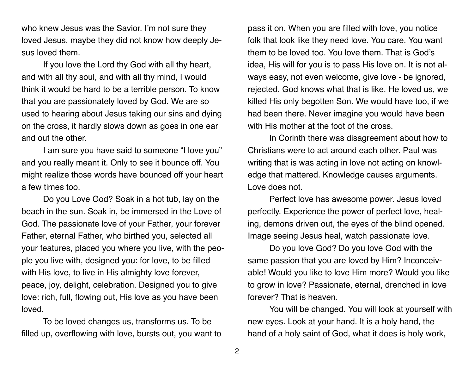who knew Jesus was the Savior. I'm not sure they loved Jesus, maybe they did not know how deeply Jesus loved them.

If you love the Lord thy God with all thy heart, and with all thy soul, and with all thy mind, I would think it would be hard to be a terrible person. To know that you are passionately loved by God. We are so used to hearing about Jesus taking our sins and dying on the cross, it hardly slows down as goes in one ear and out the other.

I am sure you have said to someone "I love you" and you really meant it. Only to see it bounce off. You might realize those words have bounced off your heart a few times too.

Do you Love God? Soak in a hot tub, lay on the beach in the sun. Soak in, be immersed in the Love of God. The passionate love of your Father, your forever Father, eternal Father, who birthed you, selected all your features, placed you where you live, with the people you live with, designed you: for love, to be filled with His love, to live in His almighty love forever, peace, joy, delight, celebration. Designed you to give love: rich, full, flowing out, His love as you have been loved.

To be loved changes us, transforms us. To be filled up, overflowing with love, bursts out, you want to

pass it on. When you are filled with love, you notice folk that look like they need love. You care. You want them to be loved too. You love them. That is God's idea, His will for you is to pass His love on. It is not always easy, not even welcome, give love - be ignored, rejected. God knows what that is like. He loved us, we killed His only begotten Son. We would have too, if we had been there. Never imagine you would have been with His mother at the foot of the cross.

In Corinth there was disagreement about how to Christians were to act around each other. Paul was writing that is was acting in love not acting on knowledge that mattered. Knowledge causes arguments. Love does not.

Perfect love has awesome power. Jesus loved perfectly. Experience the power of perfect love, healing, demons driven out, the eyes of the blind opened. Image seeing Jesus heal, watch passionate love.

Do you love God? Do you love God with the same passion that you are loved by Him? Inconceivable! Would you like to love Him more? Would you like to grow in love? Passionate, eternal, drenched in love forever? That is heaven.

You will be changed. You will look at yourself with new eyes. Look at your hand. It is a holy hand, the hand of a holy saint of God, what it does is holy work,